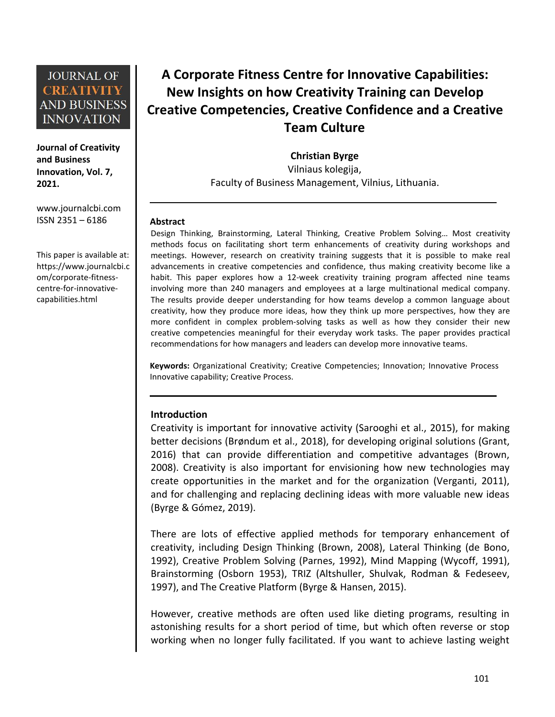**Journal of Creativity and Business Innovation, Vol. 7, 2021.**

[www.journalcbi.com](http://www.journalcbi.com) ISSN 2351 – 6186

This paper is available at: [https://www.journalcbi.c](http://www.journalcbi.com/ideation-using-analogies.html) om/corporate-fitness centre-for-innovative capabilities.html

# **A Corporate Fitness Centre for Innovative Capabilities: New Insights on how Creativity Training can Develop Creative Competencies, Creative Confidence and a Creative Team Culture**

**Christian Byrge**

Vilniaus kolegija, Faculty of Business Management, Vilnius, Lithuania.

#### **Abstract**

Design Thinking, Brainstorming, Lateral Thinking, Creative Problem Solving… Most creativity methods focus on facilitating short term enhancements of creativity during workshops and meetings. However, research on creativity training suggests that it is possible to make real advancements in creative competencies and confidence, thus making creativity become like a habit. This paper explores how a 12-week creativity training program affected nine teams involving more than 240 managers and employees at a large multinational medical company. The results provide deeper understanding for how teams develop a common language about creativity, how they produce more ideas, how they think up more perspectives, how they are more confident in complex problem-solving tasks as well as how they consider their new creative competencies meaningful for their everyday work tasks. The paper provides practical recommendations for how managers and leaders can develop more innovative teams.

**Keywords:** Organizational Creativity; Creative Competencies; Innovation; Innovative Process Innovative capability; Creative Process.

#### **Introduction**

Creativity is important for innovative activity (Sarooghi et al., 2015), for making better decisions (Brøndum et al., 2018), for developing original solutions (Grant, 2016) that can provide differentiation and competitive advantages (Brown, 2008). Creativity is also important for envisioning how new technologies may create opportunities in the market and for the organization (Verganti, 2011), and for challenging and replacing declining ideas with more valuable new ideas (Byrge & Gómez, 2019).

There are lots of effective applied methods for temporary enhancement of creativity, including Design Thinking (Brown, 2008), Lateral Thinking (de Bono, 1992), Creative Problem Solving (Parnes, 1992), Mind Mapping (Wycoff, 1991), Brainstorming (Osborn 1953), TRIZ (Altshuller, Shulvak, Rodman & Fedeseev, 1997), and The Creative Platform (Byrge & Hansen, 2015).

However, creative methods are often used like dieting programs, resulting in astonishing results for a short period of time, but which often reverse or stop working when no longer fully facilitated. If you want to achieve lasting weight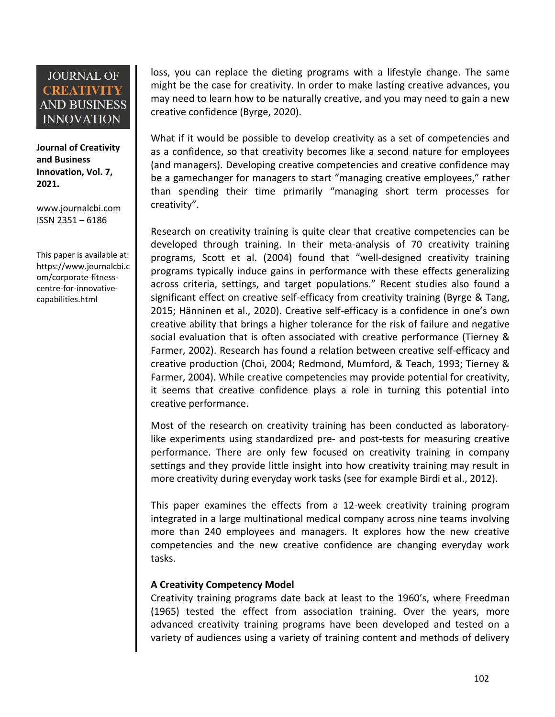**Journal of Creativity and Business Innovation, Vol. 7, 2021.**

[www.journalcbi.com](http://www.journalcbi.com) ISSN 2351 – 6186

This paper is available at: [https://www.journalcbi.c](http://www.journalcbi.com/ideation-using-analogies.html) om/corporate-fitness centre-for-innovative capabilities.html

loss, you can replace the dieting programs with a lifestyle change. The same might be the case for creativity. In order to make lasting creative advances, you may need to learn how to be naturally creative, and you may need to gain a new creative confidence (Byrge, 2020).

What if it would be possible to develop creativity as a set of competencies and as a confidence, so that creativity becomes like a second nature for employees (and managers). Developing creative competencies and creative confidence may be a gamechanger for managers to start "managing creative employees," rather than spending their time primarily "managing short term processes for creativity".

Research on creativity training is quite clear that creative competencies can be developed through training. In their meta-analysis of 70 creativity training programs, Scott et al.(2004) found that "well-designed creativity training programs typically induce gains in performance with these effects generalizing across criteria, settings, and target populations." Recent studies also found a significant effect on creative self-efficacy from creativity training (Byrge & Tang, 2015; Hänninen et al., 2020). Creative self-efficacy is a confidence in one's own creative ability that brings a higher tolerance for the risk of failure and negative social evaluation that is often associated with creative performance (Tierney & Farmer, 2002). Research has found a relation between creative self-efficacy and creative production (Choi, 2004; Redmond, Mumford, & Teach, 1993; Tierney & Farmer, 2004). While creative competencies may provide potential for creativity, it seems that creative confidence plays a role in turning this potential into creative performance.

Most of the research on creativity training has been conducted as laboratorylike experiments using standardized pre- and post-tests for measuring creative performance. There are only few focused on creativity training in company settings and they provide little insight into how creativity training may result in more creativity during everyday work tasks (see for example Birdi et al., 2012).

This paper examines the effects from a 12-week creativity training program integrated in a large multinational medical company across nine teams involving more than 240 employees and managers. It explores how the new creative competencies and the new creative confidence are changing everyday work tasks.

### **A Creativity Competency Model**

Creativity training programs date back at least to the 1960's, where Freedman  $(1965)$  tested the effect from association training. Over the years, more advanced creativity training programs have been developed and tested on a variety of audiences using a variety of training content and methods of delivery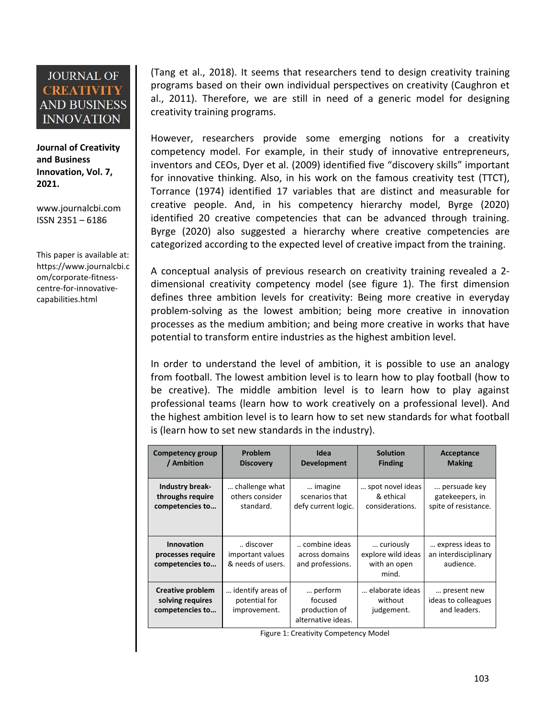**Journal of Creativity and Business Innovation, Vol. 7, 2021.**

[www.journalcbi.com](http://www.journalcbi.com) ISSN 2351 – 6186

This paper is available at: [https://www.journalcbi.c](http://www.journalcbi.com/ideation-using-analogies.html) om/corporate-fitness centre-for-innovative capabilities.html

(Tang et al., 2018). It seems that researchers tend to design creativity training programs based on their own individual perspectives on creativity (Caughron et al., 2011). Therefore, we are still in need of a generic model for designing creativity training programs.

However, researchers provide some emerging notions for a creativity competency model. For example, in their study of innovative entrepreneurs, inventors and CEOs, Dyer et al. (2009) identified five "discovery skills" important for innovative thinking. Also, in his work on the famous creativity test (TTCT), Torrance (1974) identified 17 variables that are distinct and measurable for creative people. And, in his competency hierarchy model, Byrge (2020) identified 20 creative competencies that can be advanced through training. Byrge (2020) also suggested a hierarchy where creative competencies are categorized according to the expected level of creative impact from the training.

A conceptual analysis of previous research on creativity training revealed a 2 dimensional creativity competency model (see figure 1). The first dimension defines three ambition levels for creativity: Being more creative in everyday problem-solving as the lowest ambition; being more creative in innovation processes as the medium ambition; and being more creative in works that have potential to transform entire industries as the highest ambition level.

In order to understand the level of ambition, it is possible to use an analogy from football. The lowest ambition level is to learn how to play football (how to be creative). The middle ambition level is to learn how to play against professional teams (learn how to work creatively on aprofessional level). And the highest ambition level is to learn how to set new standards for what football is (learn how to set new standards in the industry).

| Competency group                                        | <b>Problem</b>                                     | Idea                                                      | <b>Solution</b>                                          | Acceptance                                            |
|---------------------------------------------------------|----------------------------------------------------|-----------------------------------------------------------|----------------------------------------------------------|-------------------------------------------------------|
| / Ambition                                              | <b>Discovery</b>                                   | <b>Development</b>                                        | <b>Finding</b>                                           | <b>Making</b>                                         |
| <b>Industry break-</b>                                  | challenge what                                     | imagine                                                   | spot novel ideas                                         | persuade key                                          |
| throughs require                                        | others consider                                    | scenarios that                                            | & ethical                                                | gatekeepers, in                                       |
| competencies to                                         | standard.                                          | defy current logic.                                       | considerations.                                          | spite of resistance.                                  |
| Innovation<br>processes require<br>competencies to      | discover<br>important values<br>& needs of users.  | combine ideas<br>across domains<br>and professions.       | curiously<br>explore wild ideas<br>with an open<br>mind. | express ideas to<br>an interdisciplinary<br>audience. |
| Creative problem<br>solving requires<br>competencies to | identify areas of<br>potential for<br>improvement. | perform<br>focused<br>production of<br>alternative ideas. | elaborate ideas<br>without<br>judgement.                 | present new<br>ideas to colleagues<br>and leaders.    |

Figure 1: Creativity Competency Model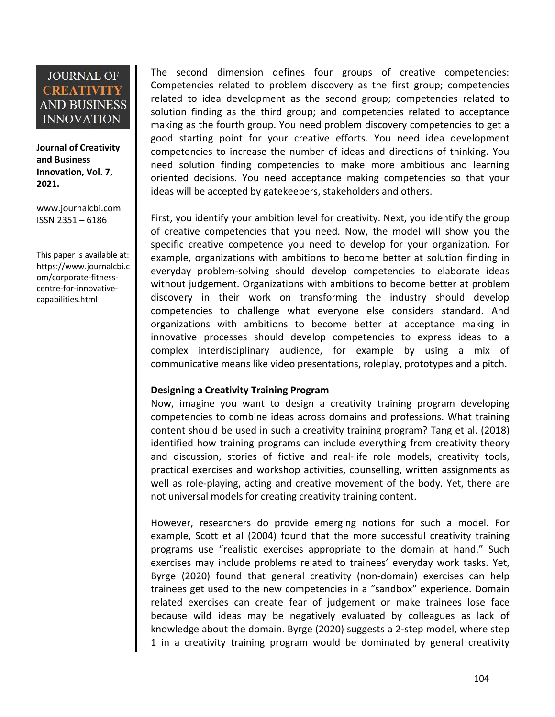**Journal of Creativity and Business Innovation, Vol. 7, 2021.**

[www.journalcbi.com](http://www.journalcbi.com) ISSN 2351 – 6186

This paper is available at: [https://www.journalcbi.c](http://www.journalcbi.com/ideation-using-analogies.html) om/corporate-fitness centre-for-innovative capabilities.html

The second dimension defines four groups of creative competencies: Competencies related to problem discovery as the first group; competencies related to idea development as the second group; competencies related to solution finding as the third group; and competencies related to acceptance making as the fourth group. You need problem discovery competencies to get a good starting point for your creative efforts. You need idea development competencies to increase the number of ideas and directions of thinking. You need solution finding competencies to make more ambitious and learning oriented decisions. You need acceptance making competencies so that your ideas will be accepted by gatekeepers, stakeholders and others.

First, you identify your ambition level for creativity. Next, you identify the group of creative competencies that you need. Now, the model will show you the specific creative competence you need to develop for your organization. For example, organizations with ambitions to become better at solution finding in everyday problem-solving should develop competencies to elaborate ideas without judgement. Organizations with ambitions to become betterat problem discovery in their work on transforming the industry should develop competencies to challenge what everyone else considers standard. And organizations with ambitions to become better at acceptance making in innovative processes should develop competencies to express ideas to a complex interdisciplinary audience, for example by using a mix of communicative means like video presentations, roleplay, prototypes and a pitch.

### **Designing a Creativity Training Program**

Now, imagine you want to design a creativity training program developing competencies to combine ideas across domains and professions.What training content should be used in such a creativity training program? Tang et al. (2018) identified how training programs can include everything from creativity theory and discussion, stories of fictive and real-life role models, creativity tools, practical exercises and workshop activities, counselling, written assignments as well as role-playing, acting and creative movement of the body. Yet, there are not universal models for creating creativity training content.

However, researchers do provide emerging notions for such a model. For example, Scott et al (2004) found that the more successful creativity training programs use "realistic exercises appropriate to the domain at hand." Such exercises may include problems related to trainees' everyday work tasks. Yet, Byrge (2020) found that general creativity (non-domain) exercises can help trainees get used to the new competencies in a "sandbox" experience. Domain related exercises can create fear of judgement or make trainees lose face because wild ideas may be negatively evaluated by colleagues as lack of knowledge about the domain. Byrge (2020) suggests a 2-step model, where step 1 in a creativity training program would be dominated by general creativity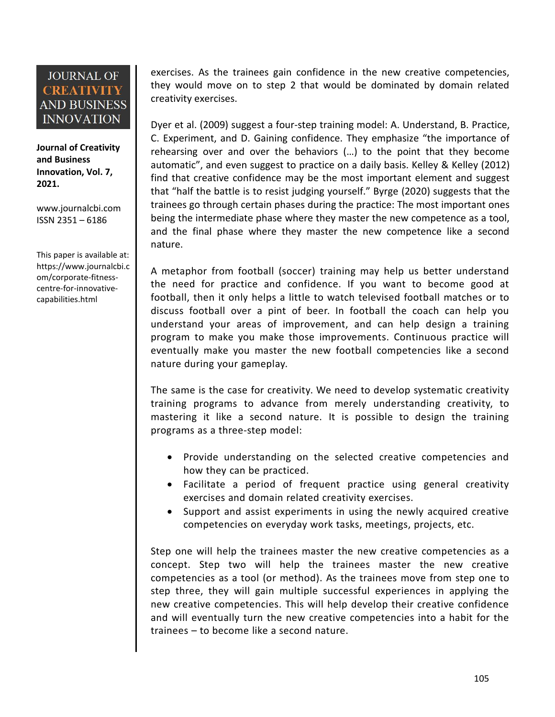**Journal of Creativity and Business Innovation, Vol. 7, 2021.**

[www.journalcbi.com](http://www.journalcbi.com) ISSN 2351 – 6186

This paper is available at: [https://www.journalcbi.c](http://www.journalcbi.com/ideation-using-analogies.html) om/corporate-fitness centre-for-innovative capabilities.html

exercises. As the trainees gain confidence in the new creative competencies, they would move on to step 2 that would be dominated by domain related creativity exercises.

Dyer et al. (2009) suggest a four-step training model: A.Understand, B. Practice, C. Experiment, and D. Gaining confidence. They emphasize "the importance of rehearsing over and over the behaviors (...) to the point that they become automatic", and even suggest to practice on a daily basis. Kelley & Kelley (2012) find that creative confidence may be the most important element and suggest that "half the battle is to resist judging yourself." Byrge (2020) suggests that the trainees go through certain phases during the practice: The most important ones being the intermediate phase where they master the new competence as a tool, and the final phase where they master the new competence like a second nature.

A metaphor from football (soccer) training may help us better understand the need for practice and confidence. If you want to become good at football, then it only helps a little to watch televised football matches or to discuss football over a pint of beer. In football the coach can help you understand your areas of improvement, and can help design a training program to make you make those improvements. Continuous practice will eventually make you master the new football competencies like a second nature during your gameplay.

The same is the case for creativity. We need to develop systematic creativity training programs to advance from merely understanding creativity, to mastering it like a second nature. It is possible to design the training programs as a three-step model:

- Provide understanding on the selected creative competencies and how they can be practiced.
- Facilitate a period of frequent practice using general creativity exercises and domain related creativity exercises.
- Support and assist experiments in using the newly acquired creative competencies on everyday work tasks, meetings, projects, etc.

Step one will help the trainees master the new creative competencies as a concept. Step two will help the trainees master the new creative competencies as a tool (or method). As the trainees move from step one to step three, they will gain multiple successful experiences in applying the new creative competencies. This will help develop their creative confidence and will eventually turn the new creative competencies into a habit for the trainees – to become like a second nature.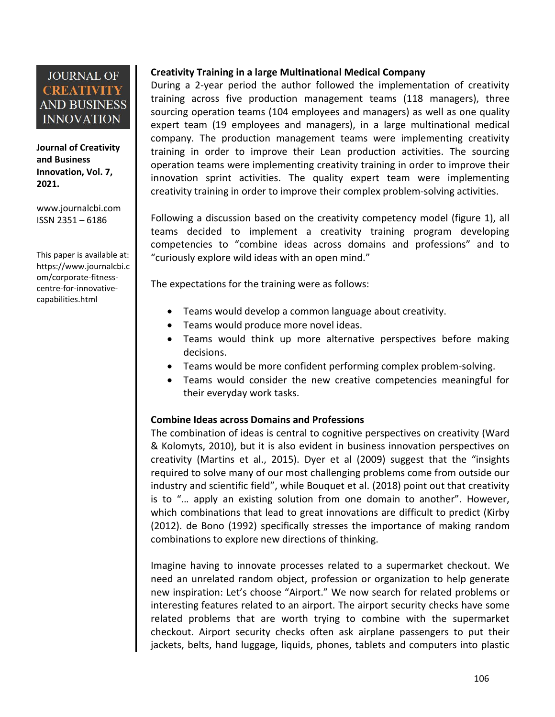**Journal of Creativity and Business Innovation, Vol. 7, 2021.**

[www.journalcbi.com](http://www.journalcbi.com) ISSN 2351 – 6186

This paper is available at: [https://www.journalcbi.c](http://www.journalcbi.com/ideation-using-analogies.html) om/corporate-fitness centre-for-innovative capabilities.html

### **Creativity Training in a large Multinational Medical Company**

During a 2-year period the author followed the implementation of creativity training across five production management teams (118 managers), three sourcing operation teams (104 employees and managers) as well as one quality expert team (19 employees and managers), in a large multinational medical company. The production management teams were implementing creativity training in order to improve their Lean production activities. The sourcing operation teams were implementing creativity training in order to improve their innovation sprint activities. The quality expert team were implementing creativity training in order to improve their complex problem-solving activities.

Following a discussion based on the creativity competency model (figure 1), all teams decided to implement a creativity training program developing competencies to "combine ideas across domains and professions" and to "curiously explore wild ideas with an open mind."

The expectations for the training were as follows:

- Teams would develop a common language about creativity.
- Teams would produce more novel ideas.
- Teams would think up more alternative perspectives before making decisions.
- Teams would be more confident performing complex problem-solving.
- Teams would consider the new creative competencies meaningful for their everyday work tasks.

### **Combine Ideas across Domains and Professions**

The combination of ideas is central to cognitive perspectives on creativity (Ward & Kolomyts, 2010), but it is also evident in business innovation perspectives on creativity (Martins et al., 2015). Dyer et al (2009) suggest that the "insights required to solve many of our most challenging problems come from outside our industry and scientific field", while Bouquet et al. (2018) point out that creativity is to "… apply an existing solution from one domain to another". However, which combinations that lead to great innovations are difficult to predict (Kirby (2012). de Bono (1992) specifically stresses the importance of making random combinations to explore new directions of thinking.

Imagine having to innovate processes related to a supermarket checkout. We need an unrelated random object, profession or organization to help generate new inspiration: Let's choose "Airport." We now search for related problems or interesting features related to an airport. The airport security checks have some related problems that are worth trying to combine with the supermarket checkout. Airport security checks often ask airplane passengers to put their jackets, belts, hand luggage, liquids, phones, tablets and computers into plastic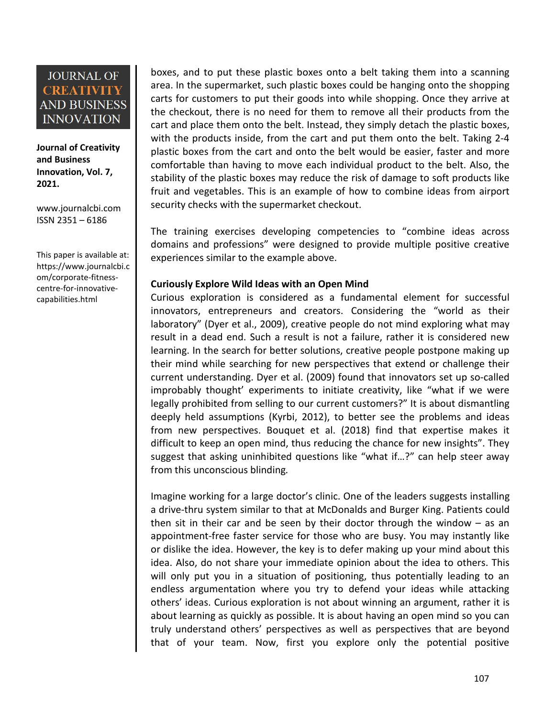**Journal of Creativity and Business Innovation, Vol. 7, 2021.**

[www.journalcbi.com](http://www.journalcbi.com) ISSN 2351 – 6186

This paper is available at: [https://www.journalcbi.c](http://www.journalcbi.com/ideation-using-analogies.html) om/corporate-fitness centre-for-innovative capabilities.html

boxes, and to put these plastic boxes onto a belt taking them into a scanning area. In the supermarket, such plastic boxes could be hanging onto the shopping carts for customers to put their goods into while shopping. Once they arrive at the checkout, there is no need for them to remove all their products from the cart and place them onto the belt. Instead, they simply detach the plastic boxes, with the products inside, from the cart and put them onto the belt. Taking 2-4 plastic boxes from the cart and onto the belt would be easier, faster and more comfortable than having to move each individual product to the belt. Also, the stability of the plastic boxes may reduce the risk of damage to soft products like fruit and vegetables. This is an example of how to combine ideas from airport security checks with the supermarket checkout.

The training exercises developing competencies to "combine ideas across domains and professions" were designed to provide multiple positive creative experiences similar to the example above.

### **Curiously Explore Wild Ideas with an Open Mind**

Curious exploration is considered as a fundamental element for successful innovators, entrepreneurs and creators. Considering the "world as their laboratory" (Dyer et al., 2009), creative people do not mind exploring what may result in a dead end. Such a result is not a failure, rather it is considered new learning. In the search for better solutions, creative people postpone making up their mind while searching for new perspectives that extend or challenge their current understanding. Dyer et al. (2009) found that innovators set up so-called improbably thought' experiments to initiate creativity, like "what if we were legally prohibited from selling to our current customers?" It is about dismantling deeply held assumptions (Kyrbi, 2012), to better see the problems and ideas from new perspectives. Bouquet et al. (2018) find that expertise makes it difficult to keep an open mind, thus reducing the chance for new insights". They suggest that asking uninhibited questions like "what if…?" can help steer away from this unconscious blinding*.*

Imagine working for a large doctor's clinic. One of the leaders suggests installing a drive-thru system similar to that at McDonalds and Burger King. Patients could then sit in their car and be seen by their doctor through the window  $-$  as an appointment-free faster service for those who are busy. You may instantly like or dislike the idea. However, the key is to defer making up your mind about this idea. Also, do not share your immediate opinion about the idea to others. This will only put you in a situation of positioning, thus potentially leading to an endless argumentation where you try to defend your ideas while attacking others' ideas. Curious exploration is not about winning an argument, rather it is about learning as quickly as possible. It is about having an open mind so you can truly understand others' perspectives as well as perspectives that are beyond that of your team. Now, first you explore only the potential positive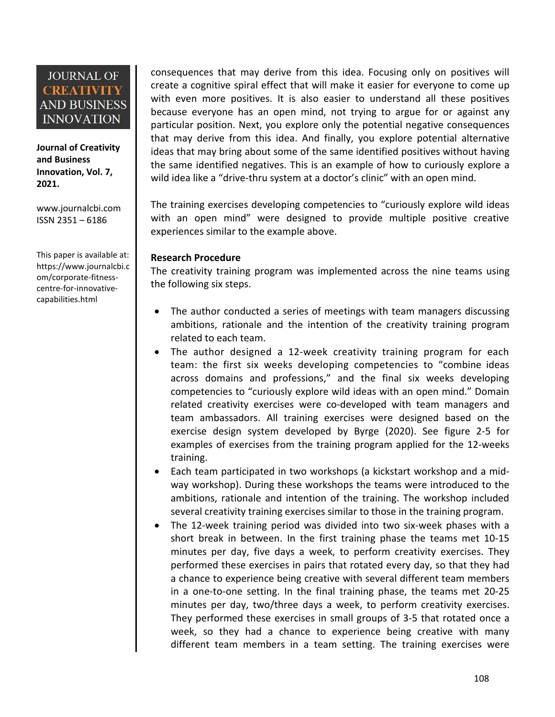**Journal of Creativity and Business Innovation, Vol. 7, 2021.**

[www.journalcbi.com](http://www.journalcbi.com) ISSN 2351 – 6186

This paper is available at: [https://www.journalcbi.c](http://www.journalcbi.com/ideation-using-analogies.html) om/corporate-fitness centre-for-innovative capabilities.html

consequences that may derive from this idea. Focusing only on positives will create a cognitive spiral effect that will make it easier for everyone to come up with even more positives. It is also easier to understand all these positives because everyone has an open mind, not trying to argue for or against any particular position. Next, you explore only the potential negative consequences that may derive from this idea. And finally, you explore potential alternative ideas that may bring about some of the same identified positives without having the same identified negatives. This is an example of how to curiously explore a wild idea like a "drive-thru system at a doctor's clinic" with an open mind.

The training exercises developing competencies to "curiously explore wild ideas with an open mind" were designed to provide multiple positive creative experiences similar to the example above.

#### **Research Procedure**

The creativity training program was implemented across the nine teams using the following six steps.

- The author conducted a series of meetings with team managers discussing ambitions, rationale and the intention of the creativity training program related to each team.
- The author designed a 12-week creativity training program for each team: the first six weeks developing competencies to "combine ideas across domains and professions," and the final six weeks developing competencies to "curiously explore wild ideas with an open mind." Domain related creativity exercises were co-developed with team managers and team ambassadors. All training exercises were designed based on the exercise design system developed by Byrge (2020). See figure 2-5 for examples of exercises from the training program applied for the 12-weeks training.
- Each team participated in two workshops (a kickstart workshop and a mid way workshop). During these workshops the teams were introduced to the ambitions, rationale and intention of the training. The workshop included several creativity training exercises similar to those in the training program.
- The 12-week training period was divided into two six-week phases with a short break in between. In the first training phase the teams met 10-15 minutes per day, five days a week, to perform creativity exercises. They performed these exercises in pairs that rotated every day, so that they had a chance to experience being creative with several different team members in a one-to-one setting. In the final training phase, the teams met 20-25 minutes per day, two/three days a week, to perform creativity exercises. They performed these exercises in small groups of 3-5 that rotated once a week, so they had a chance to experience being creative with many different team members in a team setting. The training exercises were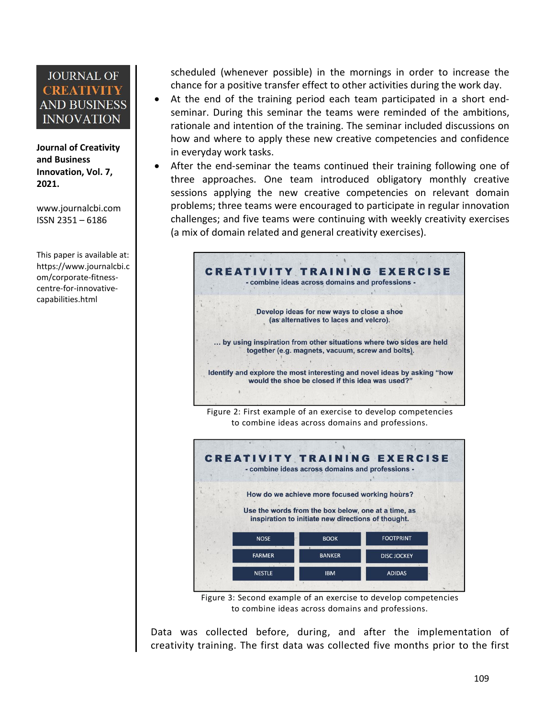**Journal of Creativity and Business Innovation, Vol. 7, 2021.**

[www.journalcbi.com](http://www.journalcbi.com) ISSN 2351 – 6186

This paper is available at: [https://www.journalcbi.c](http://www.journalcbi.com/ideation-using-analogies.html) om/corporate-fitness centre-for-innovative capabilities.html

scheduled (whenever possible) in the mornings in order to increase the chance for a positive transfer effect to other activities during the work day.

- At the end of the training period each team participated in a short endseminar. During this seminar the teams were reminded of the ambitions, rationale and intention of the training. The seminar included discussions on how and where to apply these new creative competencies and confidence in everyday work tasks.
- After the end-seminar the teams continued their training following one of three approaches. One team introduced obligatory monthly creative sessions applying the new creative competencies on relevant domain problems; three teams were encouraged to participate in regular innovation challenges; and five teams were continuing with weekly creativity exercises (a mix of domain related and general creativity exercises).



Figure 2: First example of an exercise to develop competencies to combine ideas across domains and professions.



Figure 3: Second example of an exercise to develop competencies to combine ideas across domains and professions.

Data was collected before, during, and after the implementation of creativity training. The first data was collected five months prior to the first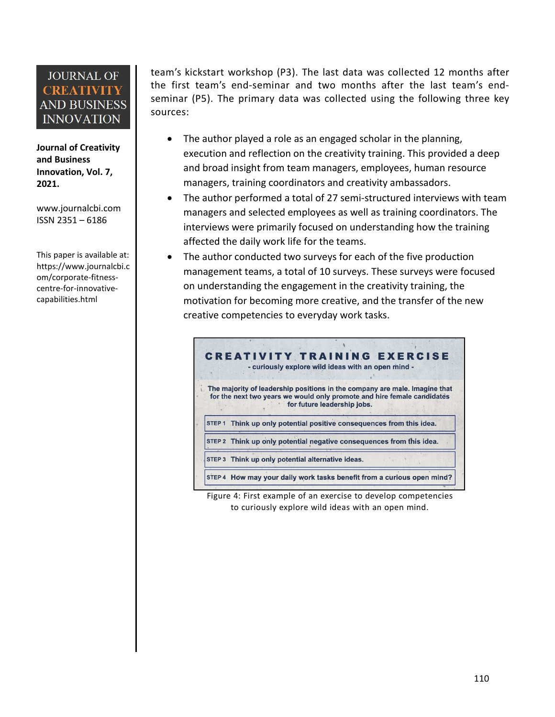**Journal of Creativity and Business Innovation, Vol. 7, 2021.**

[www.journalcbi.com](http://www.journalcbi.com) ISSN 2351 – 6186

This paper is available at: [https://www.journalcbi.c](http://www.journalcbi.com/ideation-using-analogies.html) om/corporate-fitness centre-for-innovative capabilities.html

team's kickstart workshop (P3). The last data was collected 12 months after the first team's end-seminar and two months after the last team's end seminar (P5). The primary data was collected using the following three key sources:

- The author played a role as an engaged scholar in the planning, execution and reflection on the creativity training. This provided a deep and broad insight from team managers, employees, human resource managers, training coordinators and creativity ambassadors.
- The author performed a total of 27 semi-structured interviews with team managers and selected employees as well as training coordinators. The interviews were primarily focused on understanding how the training affected the daily work life for the teams.
- The author conducted two surveys for each of the five production management teams, a total of 10 surveys. These surveys were focused on understanding the engagement in the creativity training, the motivation for becoming more creative, and the transfer of the new creative competencies to everyday work tasks.



Figure 4: First example of an exercise to develop competencies to curiously explore wild ideas with an open mind.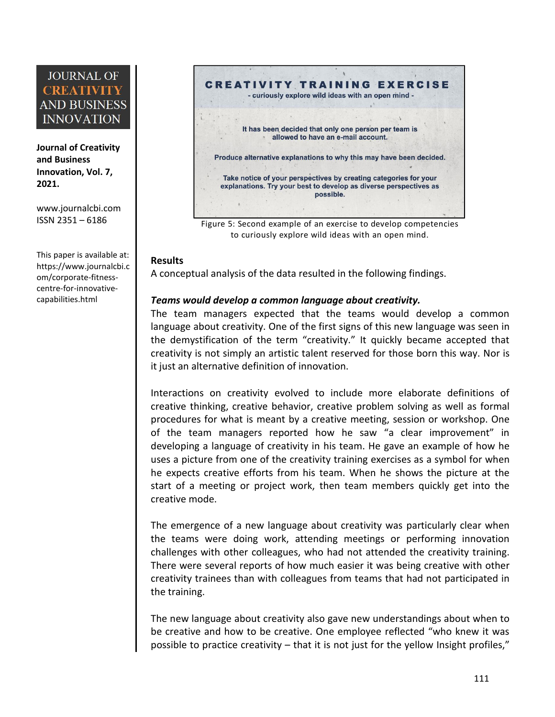**Journal of Creativity and Business Innovation, Vol. 7, 2021.**

[www.journalcbi.com](http://www.journalcbi.com) ISSN 2351 – 6186

This paper is available at: [https://www.journalcbi.c](http://www.journalcbi.com/ideation-using-analogies.html) om/corporate-fitness centre-for-innovative capabilities.html



Figure 5: Second example of an exercise to develop competencies to curiously explore wild ideas with an open mind.

#### **Results**

A conceptual analysis of the data resulted in the following findings.

### *Teams would develop a common language about creativity.*

The team managers expected that the teams would develop a common language about creativity. One of the first signs of this new language was seen in the demystification of the term "creativity." It quickly became accepted that creativity is not simply an artistic talent reserved for those born this way. Nor is it just an alternative definition of innovation.

Interactions on creativity evolved to include more elaborate definitions of creative thinking, creative behavior, creative problem solving as well as formal procedures for what is meant by a creative meeting, session or workshop. One of the team managers reported how he saw "a clear improvement" in developing a language of creativity in his team.He gave an example of how he uses a picture from one of the creativity training exercises as a symbol for when he expects creative efforts from his team. When he shows the picture at the start of a meeting or project work, then team members quickly get into the creative mode.

The emergence of a new language about creativity was particularly clear when the teams were doing work, attending meetings or performing innovation challenges with other colleagues, who had not attended the creativity training. There were several reports of how much easier it was being creative with other creativity trainees than with colleagues from teams that had not participated in the training.

The new language about creativity also gave new understandings about when to be creative and how to be creative. One employee reflected "who knew it was possible to practice creativity – that it is not just for the yellow Insight profiles,"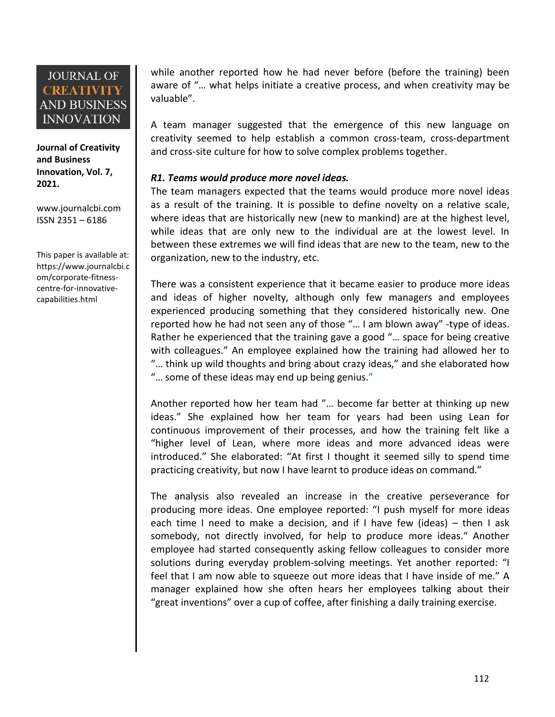**Journal of Creativity and Business Innovation, Vol. 7, 2021.**

[www.journalcbi.com](http://www.journalcbi.com) ISSN 2351 – 6186

This paper is available at: [https://www.journalcbi.c](http://www.journalcbi.com/ideation-using-analogies.html) om/corporate-fitness centre-for-innovative capabilities.html

while another reported how he had never before (before the training) been aware of "… what helps initiate a creative process, and when creativity may be valuable".

A team manager suggested that the emergence of this new language on creativity seemed to help establish a common cross-team, cross-department and cross-site culture for how to solve complex problems together.

### *R1. Teams would produce more novel ideas.*

The team managers expected that the teams would produce more novel ideas as a result of the training. It is possible to define novelty on a relative scale, where ideas that are historically new (new to mankind) are at the highest level, while ideas that are only new to the individual are at the lowest level. In between these extremes we will find ideas that are new to the team, new to the organization, new to the industry, etc.

There was a consistent experience that it became easier to produce more ideas and ideas of higher novelty, although only few managers and employees experienced producing something that they considered historically new. One reported how he had not seen any of those "… I am blown away" -type of ideas. Rather he experienced that the training gave a good "… space for being creative with colleagues." An employee explained how the training had allowed her to "… think up wild thoughts and bring about crazy ideas," and she elaborated how "… some of these ideas may end up being genius."

Another reported how her team had "... become far better at thinking up new ideas." She explained how her team for years had been using Lean for continuous improvement of their processes, and how the training felt like a "higher level of Lean, where more ideas and more advanced ideas were introduced." She elaborated: "At first I thought it seemed silly to spend time practicing creativity, but now I have learnt to produce ideas on command."

The analysis also revealed an increase in the creative perseverance for producing more ideas. One employee reported: "I push myself for more ideas each time I need to make a decision, and if I have few (ideas)  $-$  then I ask somebody, not directly involved, for help to produce more ideas." Another employee had started consequently asking fellow colleagues to consider more solutions during everyday problem-solving meetings. Yet another reported: "I feel that I am now able to squeeze out more ideas that I have inside of me." A manager explained how she often hears her employees talking about their "great inventions" over a cup of coffee, after finishing a daily training exercise.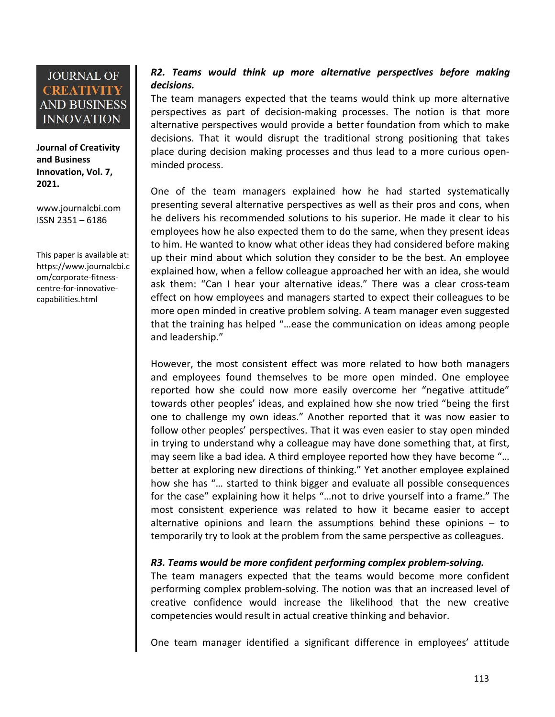

**Journal of Creativity and Business Innovation, Vol. 7, 2021.**

[www.journalcbi.com](http://www.journalcbi.com) ISSN 2351 – 6186

This paper is available at: [https://www.journalcbi.c](http://www.journalcbi.com/ideation-using-analogies.html) om/corporate-fitness centre-for-innovative capabilities.html

### *R2. Teams would think up more alternative perspectives before making decisions.*

The team managers expected that the teams would think up more alternative perspectives as part of decision-making processes. The notion is that more alternative perspectives would provide a better foundation from which to make decisions. That it would disrupt the traditional strong positioning that takes place during decision making processes and thus lead to a more curious open minded process.

One of the team managers explained how he had started systematically presenting several alternative perspectives as well as their pros and cons, when he delivers his recommended solutions to his superior. He made it clear to his employees how he also expected them to do the same, when they present ideas to him. He wanted to know what other ideas they had considered before making up their mind about which solution they consider to be the best. An employee explained how, when a fellow colleague approached her with an idea, she would ask them: "Can I hear your alternative ideas." There was a clear cross-team effect on how employees and managers started to expect their colleagues to be more open minded in creative problem solving. Ateam manager even suggested that the training has helped "…ease the communication on ideas among people and leadership."

However, the most consistent effect was more related to how both managers and employees found themselves to be more open minded. One employee reported how she could now more easily overcome her "negative attitude" towards other peoples' ideas, and explained how she now tried "being the first one to challenge my own ideas." Another reported that it was now easier to follow other peoples' perspectives. That it was even easier to stay open minded in trying to understand why a colleague may have done something that, at first, may seem like a bad idea. A third employee reported how they have become "… better at exploring new directions of thinking." Yet another employee explained how she has "… started to think bigger and evaluate all possible consequences for the case" explaining how it helps "…not to drive yourself into a frame." The most consistent experience was related to how it became easier to accept alternative opinions and learn the assumptions behind these opinions  $-$  to temporarily try to look at the problem from the same perspective as colleagues.

### *R3. Teams would be more confident performing complex problem-solving.*

The team managers expected that the teams would become more confident performing complex problem-solving. The notion was that an increased level of creative confidence would increase the likelihood that the new creative competencies would result in actual creative thinking and behavior.

One team manager identified a significant difference in employees' attitude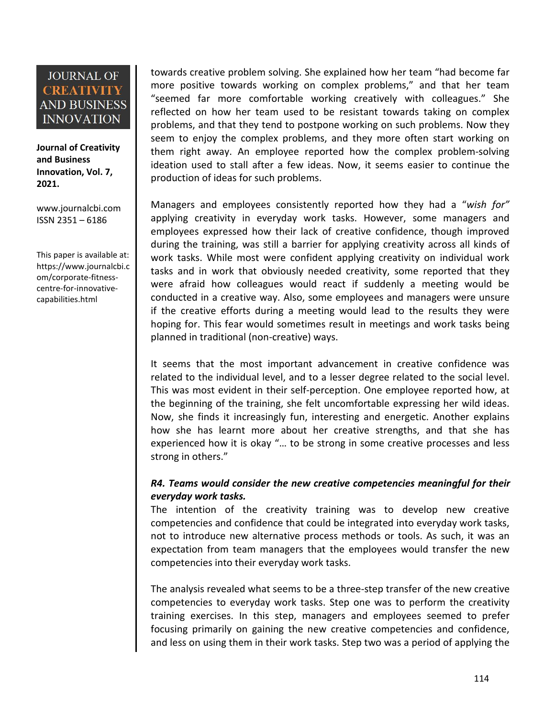**Journal of Creativity and Business Innovation, Vol. 7, 2021.**

[www.journalcbi.com](http://www.journalcbi.com) ISSN 2351 – 6186

This paper is available at: [https://www.journalcbi.c](http://www.journalcbi.com/ideation-using-analogies.html) om/corporate-fitness centre-for-innovative capabilities.html

towards creative problem solving. She explained how her team "had becomefar more positive towards working on complex problems," and that her team "seemed far more comfortable working creatively with colleagues." She reflected on how her team used to be resistant towards taking on complex problems, and that they tend to postpone working on such problems. Now they seem to enjoy the complex problems, and they more often start working on them right away. An employee reported how the complex problem-solving ideation used to stallafter a few ideas. Now, it seems easier to continue the production of ideas for such problems.

Managers and employees consistently reported how they had a "*wish for"* applying creativity in everyday work tasks. However, some managers and employees expressed how their lack of creative confidence, though improved during the training, was still a barrier for applying creativity across allkinds of work tasks. While most were confident applying creativity on individual work tasks and in work that obviously needed creativity, some reported that they were afraid how colleagues would react if suddenly a meeting would be conducted in a creative way. Also, some employees and managers were unsure if the creative efforts during a meeting would lead to the results they were hoping for. This fear would sometimes result in meetings and work tasks being planned in traditional (non-creative) ways.

It seems that the most important advancement in creative confidence was related to the individual level, and to a lesser degree related to the social level. This was most evident in their self-perception. One employee reported how, at the beginning of the training, she felt uncomfortable expressing her wild ideas. Now, she finds it increasingly fun, interesting and energetic. Another explains how she has learnt more about her creative strengths, and that she has experienced how it is okay "… to be strong in some creative processes and less strong in others."

### *R4. Teams would consider the new creative competencies meaningful for their everyday work tasks.*

The intention of the creativity training was to develop new creative competencies and confidence that could be integrated into everyday work tasks, not to introduce new alternative process methods or tools. As such, it was an expectation from team managers that the employees would transfer the new competencies into their everyday work tasks.

The analysis revealed what seems to be a three-step transfer of the new creative competencies to everyday work tasks. Step one was to perform the creativity training exercises. In this step, managers and employees seemed to prefer focusing primarily on gaining the new creative competencies and confidence, and less on using them in their work tasks. Step two was a period of applying the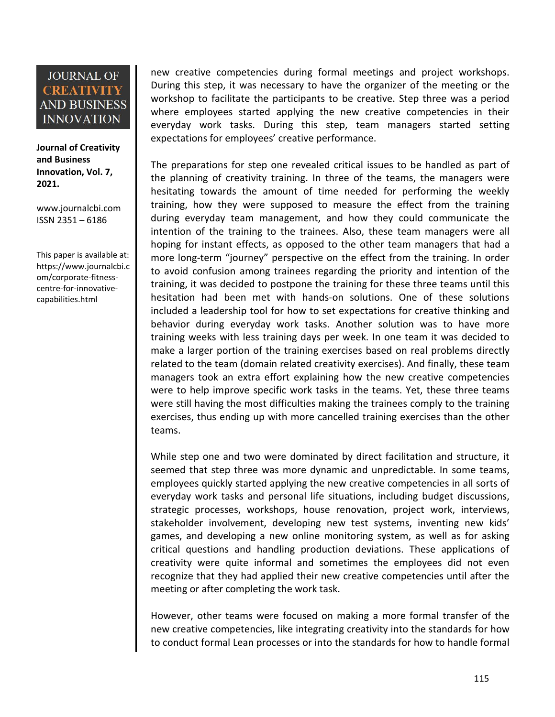**Journal of Creativity and Business Innovation, Vol. 7, 2021.**

[www.journalcbi.com](http://www.journalcbi.com) ISSN 2351 – 6186

This paper is available at: [https://www.journalcbi.c](http://www.journalcbi.com/ideation-using-analogies.html) om/corporate-fitness centre-for-innovative capabilities.html

new creative competencies during formal meetings and project workshops. During this step, it was necessary to have the organizer of the meeting or the workshop to facilitate the participants to be creative. Step three was a period where employees started applying the new creative competencies in their everyday work tasks. During this step, team managers started setting expectations for employees' creative performance.

The preparations for step one revealed critical issues to be handled as part of the planning of creativity training. In three of the teams, the managers were hesitating towards the amount of time needed for performing the weekly training, how they were supposed to measure the effect from the training during everyday team management, and how they could communicate the intention of the training to the trainees. Also, these team managers were all hoping for instant effects, as opposed to the other team managers that had a more long-term "journey" perspective on the effect from the training. In order to avoid confusion among trainees regarding the priority and intention of the training, it was decided to postpone the training for these three teams until this hesitation had been met with hands-on solutions. One of these solutions included a leadership tool for how to set expectations for creative thinking and behavior during everyday work tasks. Another solution was to have more training weeks with less training days per week. In one team it was decided to make a larger portion of the training exercises based on real problems directly related to the team (domain related creativity exercises). And finally, these team managers took an extra effort explaining how the new creative competencies were to help improve specific work tasks in the teams. Yet, these three teams were still having the most difficulties making the trainees comply to the training exercises, thus ending up with more cancelled training exercises than the other teams.

While step one and two were dominated by direct facilitation and structure, it seemed that step three was more dynamic and unpredictable. In some teams, employees quickly started applying the new creative competencies in all sorts of everyday work tasks and personal life situations, including budget discussions, strategic processes, workshops, house renovation, project work, interviews, stakeholder involvement, developing new test systems, inventing new kids' games, and developing a new online monitoring system, as well as for asking critical questions and handling production deviations. These applications of creativity were quite informal and sometimes the employees did not even recognize that they had applied their new creative competencies until after the meeting or after completing the work task.

However, other teams were focused on making a more formal transfer of the new creative competencies, like integrating creativity into the standards for how to conduct formal Lean processes or into the standards for how to handle formal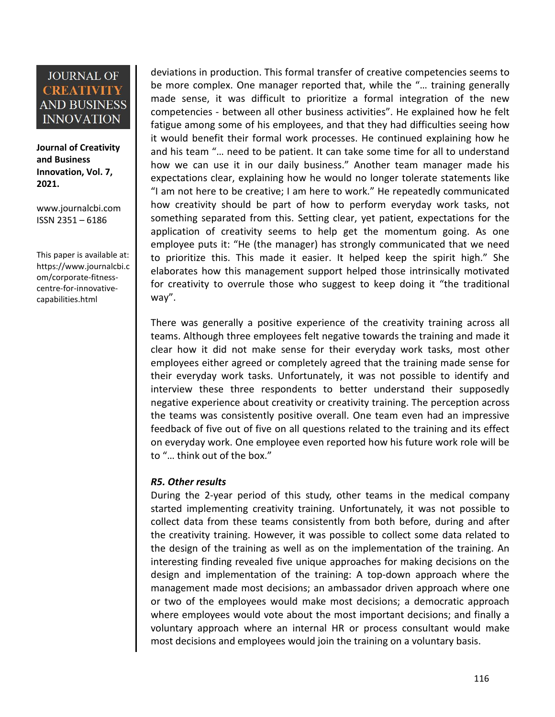**Journal of Creativity and Business Innovation, Vol. 7, 2021.**

[www.journalcbi.com](http://www.journalcbi.com) ISSN 2351 – 6186

This paper is available at: [https://www.journalcbi.c](http://www.journalcbi.com/ideation-using-analogies.html) om/corporate-fitness centre-for-innovative capabilities.html

deviations in production. This formal transfer of creative competencies seems to be more complex. One manager reported that, while the "… training generally made sense, it was difficult to prioritize a formal integration of the new competencies - between all other business activities". He explained how he felt fatigue among some of his employees, and that they had difficulties seeing how it would benefit their formal work processes. He continued explaining how he and his team "… need to be patient. It can take some time for all to understand how we can use it in our daily business." Another team manager made his expectations clear, explaining how he would no longer tolerate statements like "I am not here to be creative; I am here to work." He repeatedly communicated how creativity should be part of how to perform everyday work tasks, not something separated from this. Setting clear, yet patient, expectations for the application of creativity seems to help get the momentum going. As one employee puts it: "He (the manager) has strongly communicated that we need to prioritize this. This made it easier. It helped keep the spirit high." She elaborates how this management support helped those intrinsically motivated for creativity to overrule those who suggest to keep doing it "the traditional way".

There was generally a positive experience of the creativity training across all teams. Although three employees felt negative towards the training and made it clear how it did not make sense for their everyday work tasks, most other employees either agreed or completely agreed that the training made sense for their everyday work tasks. Unfortunately, it was not possible to identify and interview these three respondents to better understand their supposedly negative experience about creativity or creativity training. The perception across the teams was consistently positive overall. One team even had an impressive feedback of five out of five on all questions related to the training and its effect on everyday work. One employee even reported how his futurework role will be to "… think out of the box."

### *R5. Other results*

During the 2-year period of this study, other teams in the medical company started implementing creativity training. Unfortunately, it was not possible to collect data from these teams consistently from both before, during and after the creativity training. However, it was possible to collect some data related to the design of the training as well as on the implementation of the training. An interesting finding revealed five unique approaches for making decisions on the design and implementation of the training: A top-down approach where the management made most decisions; an ambassador driven approach where one or two of the employees would make most decisions; a democratic approach where employees would vote about the most important decisions; and finally a voluntary approach where an internal HR or process consultant would make most decisions and employees would join the training on a voluntary basis.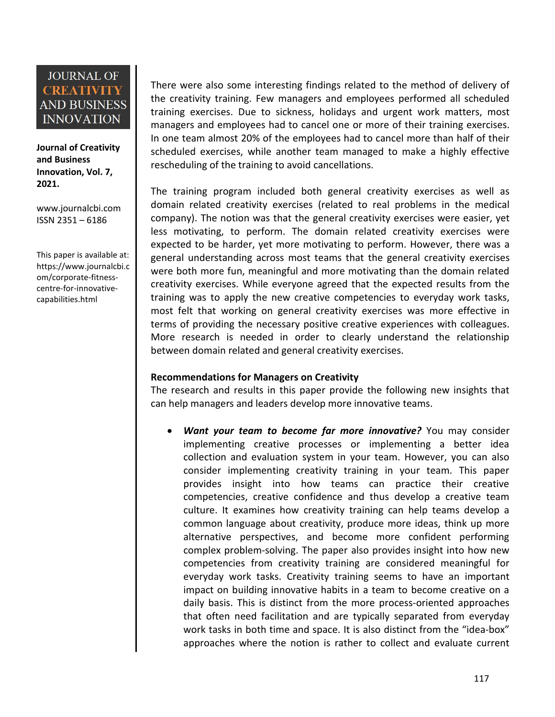**Journal of Creativity and Business Innovation, Vol. 7, 2021.**

[www.journalcbi.com](http://www.journalcbi.com) ISSN 2351 – 6186

This paper is available at: [https://www.journalcbi.c](http://www.journalcbi.com/ideation-using-analogies.html) om/corporate-fitness centre-for-innovative capabilities.html

There were also some interesting findings related to the method of delivery of the creativity training. Few managers and employees performed all scheduled training exercises. Due to sickness, holidays and urgent work matters, most managers and employees had to cancel one or more of their training exercises. In one team almost 20% of the employees had to cancel more than half of their scheduled exercises, while another team managed to make a highly effective rescheduling of the training to avoid cancellations.

The training program included both general creativity exercises as well as domain related creativity exercises (related to real problems in the medical company). The notion was that the general creativity exercises were easier, yet less motivating, to perform. The domain related creativity exercises were expected to be harder, yet more motivating to perform. However, there was a general understanding across most teams that the general creativity exercises were both more fun, meaningful and more motivating than the domain related creativity exercises. While everyone agreed that the expected results from the training was to apply the new creative competencies to everyday work tasks, most felt that working on general creativity exercises was more effective in terms of providing the necessary positive creative experiences with colleagues. More research is needed in order to clearly understand the relationship between domain related and general creativity exercises.

### **Recommendations for Managers on Creativity**

The research and results in this paper provide the following new insights that can help managers and leaders develop more innovative teams.

 *Want your team to become far more innovative?* You may consider implementing creative processes or implementing a better idea collection and evaluation system in your team. However, you can also consider implementing creativity training in your team. This paper provides insight into how teams can practice their creative competencies, creative confidence and thus develop a creative team culture. It examines how creativity training can help teams develop a common language about creativity, produce more ideas, think up more alternative perspectives, and become more confident performing complex problem-solving. The paper also provides insight into how new competencies from creativity training are considered meaningful for everyday work tasks. Creativity training seems to have an important impact on building innovative habits in a team to become creative on a daily basis. This is distinct from the more process-oriented approaches that often need facilitation and are typically separated from everyday work tasks in both time and space. It is also distinct from the "idea-box" approaches where the notion is rather to collect and evaluate current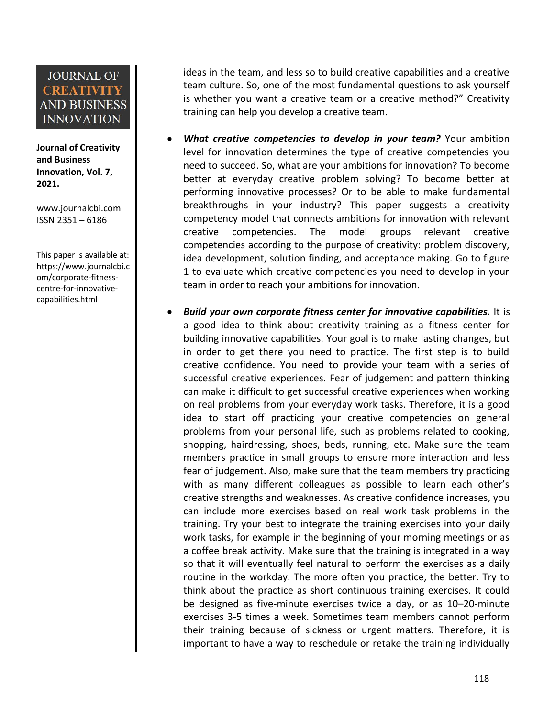**Journal of Creativity and Business Innovation, Vol. 7, 2021.**

[www.journalcbi.com](http://www.journalcbi.com) ISSN 2351 – 6186

This paper is available at: [https://www.journalcbi.c](http://www.journalcbi.com/ideation-using-analogies.html) om/corporate-fitness centre-for-innovative capabilities.html

ideas in the team, and less so to build creative capabilities and a creative team culture. So, one of the most fundamental questions to ask yourself is whether you want a creative team or a creative method?" Creativity training can help you develop a creative team.

- *What creative competencies to develop in your team?* Your ambition level for innovation determines the type of creative competencies you need to succeed. So, what are your ambitions for innovation? To become better at everyday creative problem solving? To become better at performing innovative processes? Or to be able to make fundamental breakthroughs in your industry? This paper suggests a creativity competency model that connects ambitions for innovation with relevant creative competencies. The model groups relevant creative competencies according to the purpose of creativity: problem discovery, idea development, solution finding, and acceptance making. Go to figure 1 to evaluate which creative competencies you need to develop in your team in order to reach your ambitions for innovation.
- *Build your own corporate fitness center for innovative capabilities.* It is a good idea to think about creativity training as a fitness center for building innovative capabilities. Your goal is to make lasting changes, but in order to get there you need to practice. The first step is to build creative confidence. You need to provide your team with a series of successful creative experiences. Fear of judgement and pattern thinking can make it difficult to get successful creative experiences when working on real problems from your everyday work tasks. Therefore, it is a good idea to start off practicing your creative competencies on general problems from your personal life, such as problems related to cooking, shopping, hairdressing, shoes, beds, running, etc. Make sure the team members practice in small groups to ensure more interaction and less fear of judgement. Also, make sure that the team members try practicing with as many different colleagues as possible to learn each other's creative strengths and weaknesses. As creative confidence increases, you can include more exercises based on real work task problems in the training. Try your best to integrate the training exercises into your daily work tasks, for example in the beginning of your morning meetings or as a coffee break activity. Make sure that the training is integrated in a way so that it will eventually feel natural to perform the exercises as a daily routine in the workday. The more often you practice, the better. Try to think about the practice as short continuous training exercises. It could be designed as five-minute exercises twice a day, or as 10–20-minute exercises 3-5 times a week. Sometimes team members cannot perform their training because of sickness or urgent matters. Therefore, it is important to have a way to reschedule or retake the training individually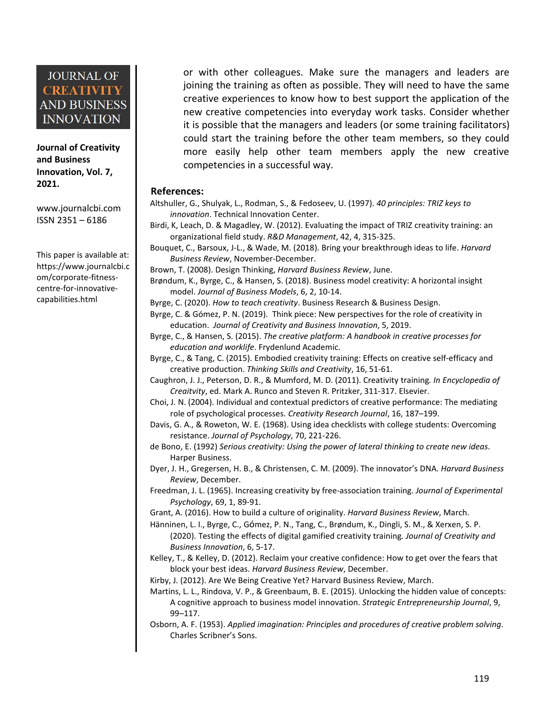**Journal of Creativity and Business Innovation, Vol. 7, 2021.**

[www.journalcbi.com](http://www.journalcbi.com) ISSN 2351 – 6186

This paper is available at: [https://www.journalcbi.c](http://www.journalcbi.com/ideation-using-analogies.html) om/corporate-fitness centre-for-innovative capabilities.html

or with other colleagues. Make sure the managers and leaders are joining the training as often as possible. They will need to have the same creative experiences to know how to best support the application of the new creative competencies into everyday work tasks. Consider whether it is possible that the managers and leaders (or some training facilitators) could start the training before the other team members, so they could more easily help other team members apply the new creative competencies in a successful way.

#### **References:**

- Altshuller, G., Shulyak, L., Rodman, S., & Fedoseev, U. (1997). *40 principles: TRIZ keys to innovation*. Technical Innovation Center.
- Birdi, K, Leach, D. & Magadley, W. (2012). Evaluating the impact of TRIZ creativity training: an organizational field study. *R&D Management*, 42, 4, 315-325.
- Bouquet, C., Barsoux, J-L., & Wade, M. (2018). Bring your breakthrough ideas to life.*Harvard Business Review*, November-December.
- Brown, T. (2008). Design Thinking, *Harvard Business Review*, June.
- Brøndum, K., Byrge, C., & Hansen, S. (2018). Business model creativity: A horizontal insight model. *Journal of Business Models*, 6, 2, 10-14.
- Byrge, C. (2020). *How to teach creativity*. Business Research & Business Design.
- Byrge, C. & Gómez, P. N. (2019). Think piece: New perspectives for the role of creativity in education. *Journal of Creativity and Business Innovation*, 5, 2019.
- Byrge, C., & Hansen, S. (2015). *The creative platform: A handbook in creative processes for education and worklife*. Frydenlund Academic.
- Byrge, C., & Tang, C. (2015). Embodied creativity training: Effects on creative self-efficacy and creative production. *Thinking Skills and Creativity*, 16, 51-61.
- Caughron, J. J., Peterson, D. R., & Mumford, M. D. (2011). Creativity training*. In Encyclopedia of Creaitvity*, ed. Mark A. Runco and Steven R. Pritzker, 311-317. Elsevier.
- Choi, J. N. (2004). Individual and contextual predictors of creative performance: The mediating role of psychological processes. *Creativity Research Journal*, 16, 187–199.
- Davis, G. A., & Roweton, W. E. (1968). Using idea checklists with college students: Overcoming resistance. *Journal of Psychology*, 70, 221-226.
- de Bono, E. (1992) *Serious creativity: Using the power of lateral thinking to create new ideas*. Harper Business.
- Dyer, J. H., Gregersen, H. B., & Christensen, C. M. (2009). The innovator's DNA. *Harvard Business Review*, December.
- Freedman, J. L. (1965). Increasing creativity by free-association training. *Journal of Experimental Psychology*, 69, 1, 89-91.
- Grant, A. (2016). How to build a culture of originality. *Harvard Business Review*, March.
- Hanninen, L. I., Byrge, C., Gómez, P. N., Tang, C., Brøndum, K., Dingli, S. M., & Xerxen, S. P. (2020). Testing the effects of digital gamified creativity training*. Journal of Creativity and Business Innovation*, 6, 5-17.
- Kelley, T., & Kelley, D. (2012). Reclaim your creative confidence: How to get over the fears that block your best ideas. *Harvard Business Review*, December.

Kirby, J. (2012). Are We Being Creative Yet? Harvard Business Review, March.

- Martins, L. L., Rindova, V. P., & Greenbaum, B. E. (2015). Unlocking the hidden value of concepts: A cognitive approach to business model innovation. *Strategic Entrepreneurship Journal*, 9, 99–117.
- Osborn, A. F. (1953). *Applied imagination: Principles and procedures of creative problem solving*. Charles Scribner's Sons.